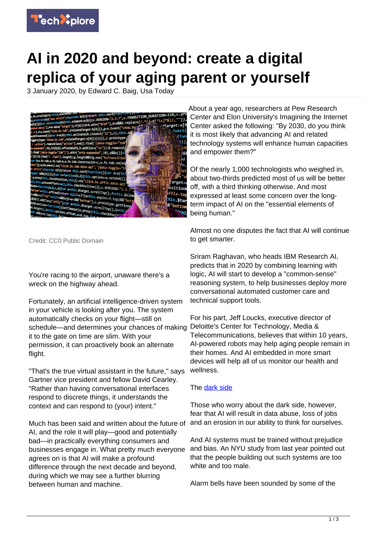

## **AI in 2020 and beyond: create a digital replica of your aging parent or yourself**

3 January 2020, by Edward C. Baig, Usa Today



Credit: CC0 Public Domain

You're racing to the airport, unaware there's a wreck on the highway ahead.

Fortunately, an artificial intelligence-driven system in your vehicle is looking after you. The system automatically checks on your flight—still on schedule—and determines your chances of making it to the gate on time are slim. With your permission, it can proactively book an alternate flight.

"That's the true virtual assistant in the future," says Gartner vice president and fellow David Cearley. "Rather than having conversational interfaces respond to discrete things, it understands the context and can respond to (your) intent."

Much has been said and written about the future of AI, and the role it will play—good and potentially bad—in practically everything consumers and businesses engage in. What pretty much everyone agrees on is that AI will make a profound difference through the next decade and beyond, during which we may see a further blurring between human and machine.

About a year ago, researchers at Pew Research Center and Elon University's Imagining the Internet Center asked the following: "By 2030, do you think it is most likely that advancing AI and related technology systems will enhance human capacities and empower them?"

Of the nearly 1,000 technologists who weighed in, about two-thirds predicted most of us will be better off, with a third thinking otherwise. And most expressed at least some concern over the longterm impact of AI on the "essential elements of being human."

Almost no one disputes the fact that AI will continue to get smarter.

Sriram Raghavan, who heads IBM Research AI, predicts that in 2020 by combining learning with logic, AI will start to develop a "common-sense" reasoning system, to help businesses deploy more conversational automated customer care and technical support tools.

For his part, Jeff Loucks, executive director of Deloitte's Center for Technology, Media & Telecommunications, believes that within 10 years, AI-powered robots may help aging people remain in their homes. And AI embedded in more smart devices will help all of us monitor our health and wellness.

## The [dark side](https://techxplore.com/tags/dark+side/)

Those who worry about the dark side, however, fear that AI will result in data abuse, loss of jobs and an erosion in our ability to think for ourselves.

And AI systems must be trained without prejudice and bias. An NYU study from last year pointed out that the people building out such systems are too white and too male.

Alarm bells have been sounded by some of the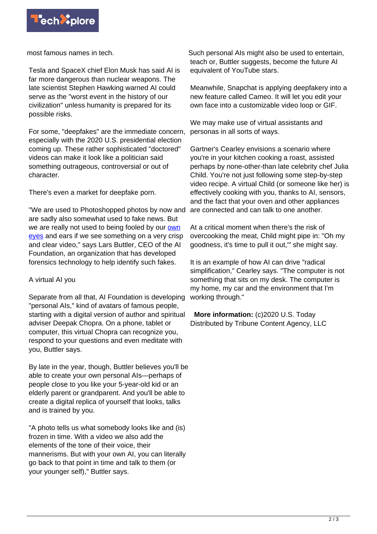

most famous names in tech.

Tesla and SpaceX chief Elon Musk has said AI is far more dangerous than nuclear weapons. The late scientist Stephen Hawking warned AI could serve as the "worst event in the history of our civilization" unless humanity is prepared for its possible risks.

For some, "deepfakes" are the immediate concern, especially with the 2020 U.S. presidential election coming up. These rather sophisticated "doctored" videos can make it look like a politician said something outrageous, controversial or out of character.

There's even a market for deepfake porn.

"We are used to Photoshopped photos by now and are sadly also somewhat used to fake news. But we are really not used to being fooled by our [own](https://techxplore.com/tags/own+eyes/) [eyes](https://techxplore.com/tags/own+eyes/) and ears if we see something on a very crisp and clear video," says Lars Buttler, CEO of the AI Foundation, an organization that has developed forensics technology to help identify such fakes.

## A virtual AI you

Separate from all that, AI Foundation is developing "personal AIs," kind of avatars of famous people, starting with a digital version of author and spiritual adviser Deepak Chopra. On a phone, tablet or computer, this virtual Chopra can recognize you, respond to your questions and even meditate with you, Buttler says.

By late in the year, though, Buttler believes you'll be able to create your own personal AIs—perhaps of people close to you like your 5-year-old kid or an elderly parent or grandparent. And you'll be able to create a digital replica of yourself that looks, talks and is trained by you.

"A photo tells us what somebody looks like and (is) frozen in time. With a video we also add the elements of the tone of their voice, their mannerisms. But with your own AI, you can literally go back to that point in time and talk to them (or your younger self)," Buttler says.

Such personal AIs might also be used to entertain. teach or, Buttler suggests, become the future AI equivalent of YouTube stars.

Meanwhile, Snapchat is applying deepfakery into a new feature called Cameo. It will let you edit your own face into a customizable video loop or GIF.

We may make use of virtual assistants and personas in all sorts of ways.

Gartner's Cearley envisions a scenario where you're in your kitchen cooking a roast, assisted perhaps by none-other-than late celebrity chef Julia Child. You're not just following some step-by-step video recipe. A virtual Child (or someone like her) is effectively cooking with you, thanks to AI, sensors, and the fact that your oven and other appliances are connected and can talk to one another.

At a critical moment when there's the risk of overcooking the meat, Child might pipe in: "Oh my goodness, it's time to pull it out,'" she might say.

It is an example of how AI can drive "radical simplification," Cearley says. "The computer is not something that sits on my desk. The computer is my home, my car and the environment that I'm working through."

 **More information:** (c)2020 U.S. Today Distributed by Tribune Content Agency, LLC